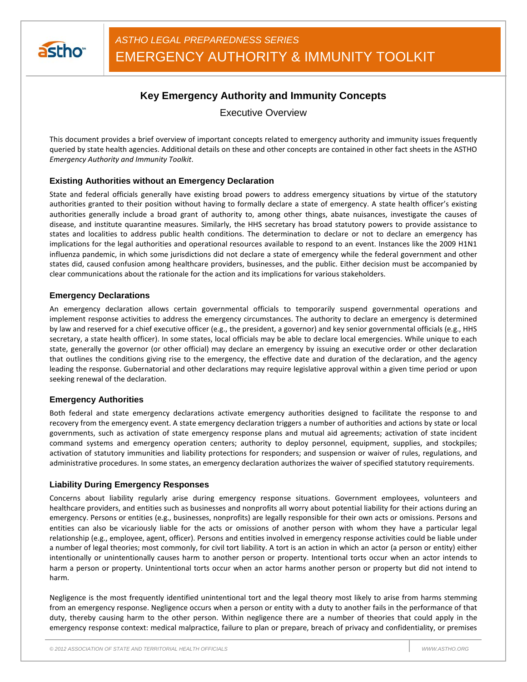

# **Key Emergency Authority and Immunity Concepts**

Executive Overview

This document provides a brief overview of important concepts related to emergency authority and immunity issues frequently queried by state health agencies. Additional details on these and other concepts are contained in other fact sheets in the ASTHO *Emergency Authority and Immunity Toolkit*.

## **Existing Authorities without an Emergency Declaration**

State and federal officials generally have existing broad powers to address emergency situations by virtue of the statutory authorities granted to their position without having to formally declare a state of emergency. A state health officer's existing authorities generally include a broad grant of authority to, among other things, abate nuisances, investigate the causes of disease, and institute quarantine measures. Similarly, the HHS secretary has broad statutory powers to provide assistance to states and localities to address public health conditions. The determination to declare or not to declare an emergency has implications for the legal authorities and operational resources available to respond to an event. Instances like the 2009 H1N1 influenza pandemic, in which some jurisdictions did not declare a state of emergency while the federal government and other states did, caused confusion among healthcare providers, businesses, and the public. Either decision must be accompanied by clear communications about the rationale for the action and its implications for various stakeholders.

### **Emergency Declarations**

An emergency declaration allows certain governmental officials to temporarily suspend governmental operations and implement response activities to address the emergency circumstances. The authority to declare an emergency is determined by law and reserved for a chief executive officer (e.g., the president, a governor) and key senior governmental officials (e.g., HHS secretary, a state health officer). In some states, local officials may be able to declare local emergencies. While unique to each state, generally the governor (or other official) may declare an emergency by issuing an executive order or other declaration that outlines the conditions giving rise to the emergency, the effective date and duration of the declaration, and the agency leading the response. Gubernatorial and other declarations may require legislative approval within a given time period or upon seeking renewal of the declaration.

### **Emergency Authorities**

Both federal and state emergency declarations activate emergency authorities designed to facilitate the response to and recovery from the emergency event. A state emergency declaration triggers a number of authorities and actions by state or local governments, such as activation of state emergency response plans and mutual aid agreements; activation of state incident command systems and emergency operation centers; authority to deploy personnel, equipment, supplies, and stockpiles; activation of statutory immunities and liability protections for responders; and suspension or waiver of rules, regulations, and administrative procedures. In some states, an emergency declaration authorizes the waiver of specified statutory requirements.

### **Liability During Emergency Responses**

Concerns about liability regularly arise during emergency response situations. Government employees, volunteers and healthcare providers, and entities such as businesses and nonprofits all worry about potential liability for their actions during an emergency. Persons or entities (e.g., businesses, nonprofits) are legally responsible for their own acts or omissions. Persons and entities can also be vicariously liable for the acts or omissions of another person with whom they have a particular legal relationship (e.g., employee, agent, officer). Persons and entities involved in emergency response activities could be liable under a number of legal theories; most commonly, for civil tort liability. A tort is an action in which an actor (a person or entity) either intentionally or unintentionally causes harm to another person or property. Intentional torts occur when an actor intends to harm a person or property. Unintentional torts occur when an actor harms another person or property but did not intend to harm.

Negligence is the most frequently identified unintentional tort and the legal theory most likely to arise from harms stemming from an emergency response. Negligence occurs when a person or entity with a duty to another fails in the performance of that duty, thereby causing harm to the other person. Within negligence there are a number of theories that could apply in the emergency response context: medical malpractice, failure to plan or prepare, breach of privacy and confidentiality, or premises